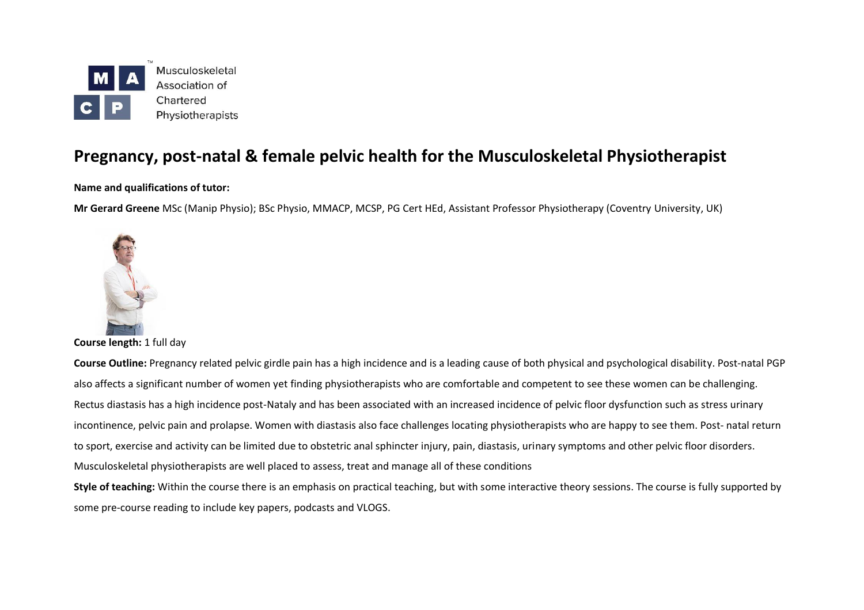

# **Pregnancy, post-natal & female pelvic health for the Musculoskeletal Physiotherapist**

**Name and qualifications of tutor:**

**Mr Gerard Greene** MSc (Manip Physio); BSc Physio, MMACP, MCSP, PG Cert HEd, Assistant Professor Physiotherapy (Coventry University, UK)



**Course length:** 1 full day

**Course Outline:** Pregnancy related pelvic girdle pain has a high incidence and is a leading cause of both physical and psychological disability. Post-natal PGP also affects a significant number of women yet finding physiotherapists who are comfortable and competent to see these women can be challenging. Rectus diastasis has a high incidence post-Nataly and has been associated with an increased incidence of pelvic floor dysfunction such as stress urinary incontinence, pelvic pain and prolapse. Women with diastasis also face challenges locating physiotherapists who are happy to see them. Post- natal return to sport, exercise and activity can be limited due to obstetric anal sphincter injury, pain, diastasis, urinary symptoms and other pelvic floor disorders. Musculoskeletal physiotherapists are well placed to assess, treat and manage all of these conditions

**Style of teaching:** Within the course there is an emphasis on practical teaching, but with some interactive theory sessions. The course is fully supported by some pre-course reading to include key papers, podcasts and VLOGS.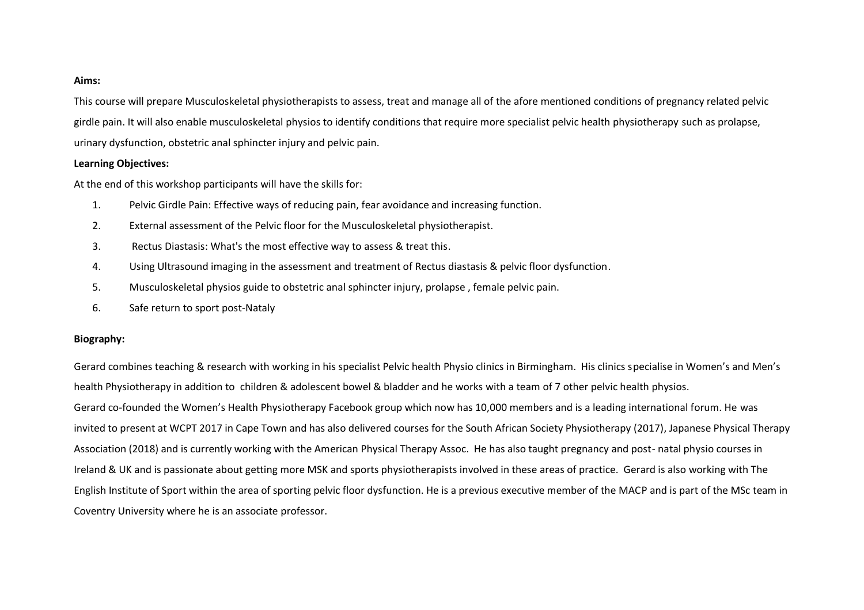#### **Aims:**

This course will prepare Musculoskeletal physiotherapists to assess, treat and manage all of the afore mentioned conditions of pregnancy related pelvic girdle pain. It will also enable musculoskeletal physios to identify conditions that require more specialist pelvic health physiotherapy such as prolapse, urinary dysfunction, obstetric anal sphincter injury and pelvic pain.

#### **Learning Objectives:**

At the end of this workshop participants will have the skills for:

- 1. Pelvic Girdle Pain: Effective ways of reducing pain, fear avoidance and increasing function.
- 2. External assessment of the Pelvic floor for the Musculoskeletal physiotherapist.
- 3. Rectus Diastasis: What's the most effective way to assess & treat this.
- 4. Using Ultrasound imaging in the assessment and treatment of Rectus diastasis & pelvic floor dysfunction.
- 5. Musculoskeletal physios guide to obstetric anal sphincter injury, prolapse , female pelvic pain.
- 6. Safe return to sport post-Nataly

#### **Biography:**

Gerard combines teaching & research with working in his specialist Pelvic health Physio clinics in Birmingham. His clinics specialise in Women's and Men's health Physiotherapy in addition to children & adolescent bowel & bladder and he works with a team of 7 other pelvic health physios. Gerard co-founded the Women's Health Physiotherapy Facebook group which now has 10,000 members and is a leading international forum. He was invited to present at WCPT 2017 in Cape Town and has also delivered courses for the South African Society Physiotherapy (2017), Japanese Physical Therapy Association (2018) and is currently working with the American Physical Therapy Assoc. He has also taught pregnancy and post- natal physio courses in Ireland & UK and is passionate about getting more MSK and sports physiotherapists involved in these areas of practice. Gerard is also working with The English Institute of Sport within the area of sporting pelvic floor dysfunction. He is a previous executive member of the MACP and is part of the MSc team in Coventry University where he is an associate professor.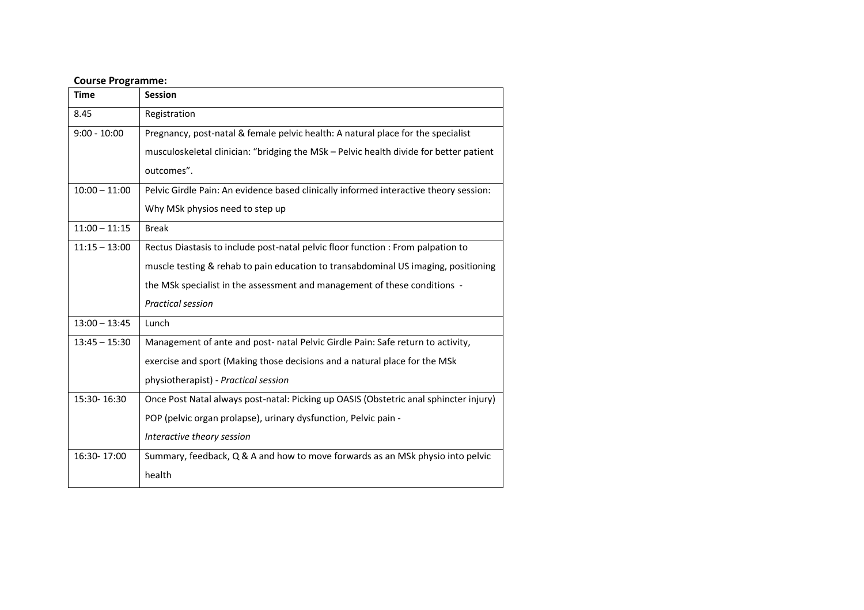## **Course Programme:**

| <b>Time</b>     | <b>Session</b>                                                                         |
|-----------------|----------------------------------------------------------------------------------------|
| 8.45            | Registration                                                                           |
| $9:00 - 10:00$  | Pregnancy, post-natal & female pelvic health: A natural place for the specialist       |
|                 | musculoskeletal clinician: "bridging the MSk - Pelvic health divide for better patient |
|                 | outcomes".                                                                             |
| $10:00 - 11:00$ | Pelvic Girdle Pain: An evidence based clinically informed interactive theory session:  |
|                 | Why MSk physios need to step up                                                        |
| $11:00 - 11:15$ | <b>Break</b>                                                                           |
| $11:15 - 13:00$ | Rectus Diastasis to include post-natal pelvic floor function : From palpation to       |
|                 | muscle testing & rehab to pain education to transabdominal US imaging, positioning     |
|                 | the MSk specialist in the assessment and management of these conditions -              |
|                 | <b>Practical session</b>                                                               |
| $13:00 - 13:45$ | Lunch                                                                                  |
| $13:45 - 15:30$ | Management of ante and post- natal Pelvic Girdle Pain: Safe return to activity,        |
|                 | exercise and sport (Making those decisions and a natural place for the MSk             |
|                 | physiotherapist) - Practical session                                                   |
| 15:30-16:30     | Once Post Natal always post-natal: Picking up OASIS (Obstetric anal sphincter injury)  |
|                 | POP (pelvic organ prolapse), urinary dysfunction, Pelvic pain -                        |
|                 | Interactive theory session                                                             |
| 16:30-17:00     | Summary, feedback, Q & A and how to move forwards as an MSk physio into pelvic         |
|                 | health                                                                                 |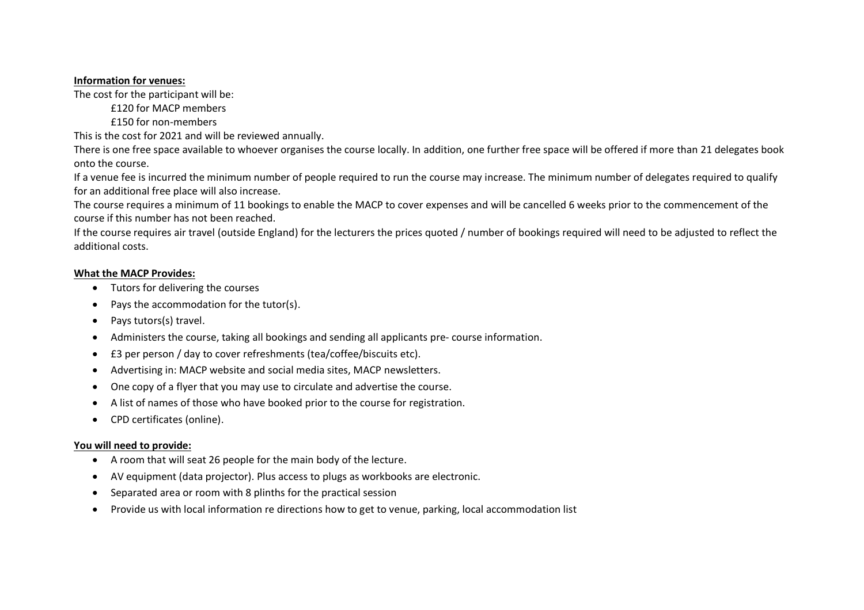#### **Information for venues:**

The cost for the participant will be:

£120 for MACP members

£150 for non-members

This is the cost for 2021 and will be reviewed annually.

There is one free space available to whoever organises the course locally. In addition, one further free space will be offered if more than 21 delegates book onto the course.

If a venue fee is incurred the minimum number of people required to run the course may increase. The minimum number of delegates required to qualify for an additional free place will also increase.

The course requires a minimum of 11 bookings to enable the MACP to cover expenses and will be cancelled 6 weeks prior to the commencement of the course if this number has not been reached.

If the course requires air travel (outside England) for the lecturers the prices quoted / number of bookings required will need to be adjusted to reflect the additional costs.

## **What the MACP Provides:**

- Tutors for delivering the courses
- Pays the accommodation for the tutor(s).
- Pays tutors(s) travel.
- Administers the course, taking all bookings and sending all applicants pre- course information.
- £3 per person / day to cover refreshments (tea/coffee/biscuits etc).
- Advertising in: MACP website and social media sites, MACP newsletters.
- One copy of a flyer that you may use to circulate and advertise the course.
- A list of names of those who have booked prior to the course for registration.
- CPD certificates (online).

## **You will need to provide:**

- A room that will seat 26 people for the main body of the lecture.
- AV equipment (data projector). Plus access to plugs as workbooks are electronic.
- Separated area or room with 8 plinths for the practical session
- Provide us with local information re directions how to get to venue, parking, local accommodation list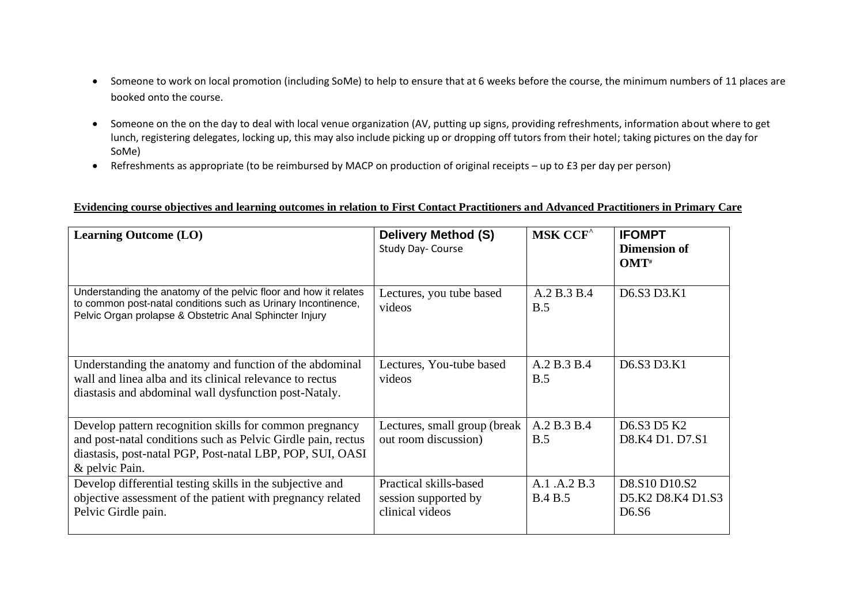- Someone to work on local promotion (including SoMe) to help to ensure that at 6 weeks before the course, the minimum numbers of 11 places are booked onto the course.
- Someone on the on the day to deal with local venue organization (AV, putting up signs, providing refreshments, information about where to get lunch, registering delegates, locking up, this may also include picking up or dropping off tutors from their hotel; taking pictures on the day for SoMe)
- Refreshments as appropriate (to be reimbursed by MACP on production of original receipts up to £3 per day per person)

## **Evidencing course objectives and learning outcomes in relation to First Contact Practitioners and Advanced Practitioners in Primary Care**

| <b>Learning Outcome (LO)</b>                                                                                                                                                                           | <b>Delivery Method (S)</b><br>Study Day- Course                   | <b>MSK CCF<sup>^</sup></b>     | <b>IFOMPT</b><br><b>Dimension of</b><br>$OMT^*$                                 |
|--------------------------------------------------------------------------------------------------------------------------------------------------------------------------------------------------------|-------------------------------------------------------------------|--------------------------------|---------------------------------------------------------------------------------|
| Understanding the anatomy of the pelvic floor and how it relates<br>to common post-natal conditions such as Urinary Incontinence,<br>Pelvic Organ prolapse & Obstetric Anal Sphincter Injury           | Lectures, you tube based<br>videos                                | A.2 B.3 B.4<br>B.5             | D6.S3 D3.K1                                                                     |
| Understanding the anatomy and function of the abdominal<br>wall and linea alba and its clinical relevance to rectus<br>diastasis and abdominal wall dysfunction post-Nataly.                           | Lectures, You-tube based<br>videos                                | A.2 B.3 B.4<br>B.5             | D6.S3 D3.K1                                                                     |
| Develop pattern recognition skills for common pregnancy<br>and post-natal conditions such as Pelvic Girdle pain, rectus<br>diastasis, post-natal PGP, Post-natal LBP, POP, SUI, OASI<br>& pelvic Pain. | Lectures, small group (break<br>out room discussion)              | A.2 B.3 B.4<br>B.5             | D <sub>6</sub> .S <sub>3</sub> D <sub>5</sub> K <sub>2</sub><br>D8.K4 D1. D7.S1 |
| Develop differential testing skills in the subjective and<br>objective assessment of the patient with pregnancy related<br>Pelvic Girdle pain.                                                         | Practical skills-based<br>session supported by<br>clinical videos | A.1 .A.2 B.3<br><b>B.4 B.5</b> | D8.S10 D10.S2<br>D5.K2 D8.K4 D1.S3<br>D <sub>6</sub> .S <sub>6</sub>            |